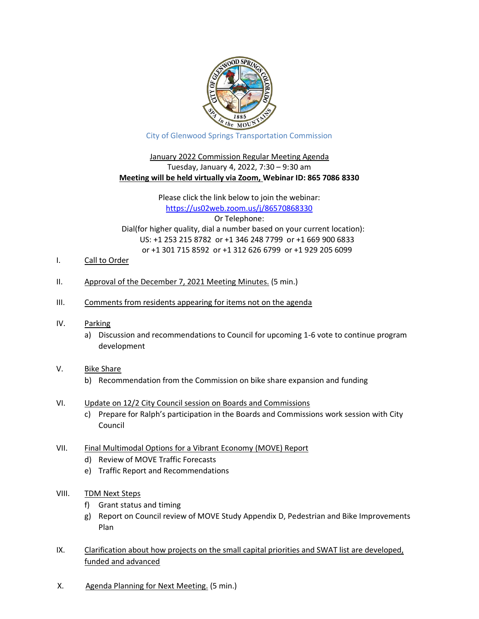

City of Glenwood Springs Transportation Commission

#### January 2022 Commission Regular Meeting Agenda Tuesday, January 4, 2022, 7:30 – 9:30 am **Meeting will be held virtually via Zoom, Webinar ID: 865 7086 8330**

#### Please click the link below to join the webinar: https://us02web.zoom.us/j/86570868330 Or Telephone: Dial(for higher quality, dial a number based on your current location): US: +1 253 215 8782 or +1 346 248 7799 or +1 669 900 6833 or +1 301 715 8592 or +1 312 626 6799 or +1 929 205 6099

- I. Call to Order
- II. Approval of the December 7, 2021 Meeting Minutes. (5 min.)
- III. Comments from residents appearing for items not on the agenda
- IV. Parking
	- a) Discussion and recommendations to Council for upcoming 1-6 vote to continue program development
- V. Bike Share
	- b) Recommendation from the Commission on bike share expansion and funding
- VI. Update on 12/2 City Council session on Boards and Commissions
	- c) Prepare for Ralph's participation in the Boards and Commissions work session with City Council
- VII. Final Multimodal Options for a Vibrant Economy (MOVE) Report
	- d) Review of MOVE Traffic Forecasts
	- e) Traffic Report and Recommendations
- VIII. TDM Next Steps
	- f) Grant status and timing
	- g) Report on Council review of MOVE Study Appendix D, Pedestrian and Bike Improvements Plan
- IX. Clarification about how projects on the small capital priorities and SWAT list are developed, funded and advanced
- X. Agenda Planning for Next Meeting. (5 min.)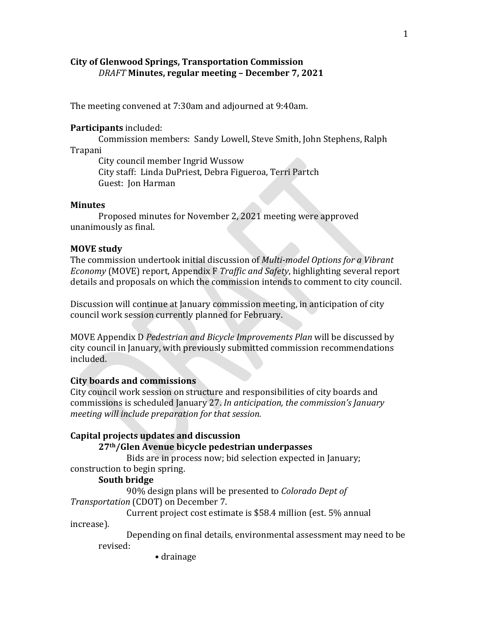## **City of Glenwood Springs, Transportation Commission** *DRAFT* **Minutes, regular meeting – December 7, 2021**

The meeting convened at 7:30am and adjourned at 9:40am.

## **Participants** included:

Commission members: Sandy Lowell, Steve Smith, John Stephens, Ralph Trapani

City council member Ingrid Wussow City staff: Linda DuPriest, Debra Figueroa, Terri Partch Guest: Jon Harman

#### **Minutes**

Proposed minutes for November 2, 2021 meeting were approved unanimously as final.

## **MOVE study**

The commission undertook initial discussion of *Multi-model Options for a Vibrant Economy* (MOVE) report, Appendix F *Traffic and Safety*, highlighting several report details and proposals on which the commission intends to comment to city council.

Discussion will continue at January commission meeting, in anticipation of city council work session currently planned for February.

MOVE Appendix D *Pedestrian and Bicycle Improvements Plan* will be discussed by city council in January, with previously submitted commission recommendations included.

## **City boards and commissions**

City council work session on structure and responsibilities of city boards and commissions is scheduled January 27. *In anticipation, the commission's January meeting will include preparation for that session.*

## **Capital projects updates and discussion**

#### **27th/Glen Avenue bicycle pedestrian underpasses**

Bids are in process now; bid selection expected in January; construction to begin spring.

## **South bridge**

90% design plans will be presented to *Colorado Dept of Transportation* (CDOT) on December 7.

Current project cost estimate is \$58.4 million (est. 5% annual

increase).

Depending on final details, environmental assessment may need to be revised:

• drainage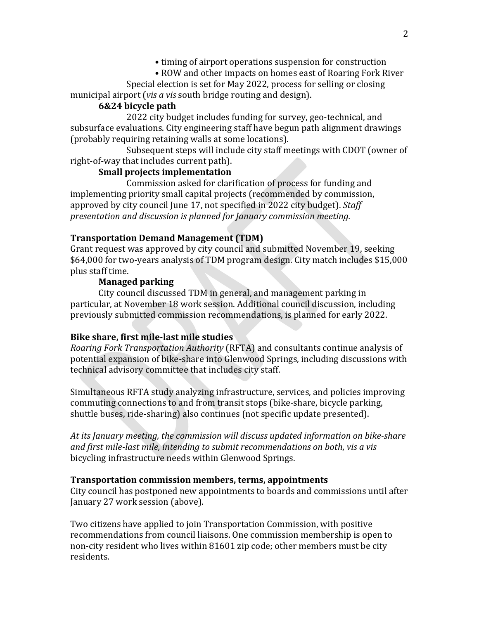- timing of airport operations suspension for construction
- ROW and other impacts on homes east of Roaring Fork River

Special election is set for May 2022, process for selling or closing municipal airport (*vis a vis* south bridge routing and design).

# **6&24 bicycle path**

2022 city budget includes funding for survey, geo-technical, and subsurface evaluations. City engineering staff have begun path alignment drawings (probably requiring retaining walls at some locations).

Subsequent steps will include city staff meetings with CDOT (owner of right-of-way that includes current path).

# **Small projects implementation**

Commission asked for clarification of process for funding and implementing priority small capital projects (recommended by commission, approved by city council June 17, not specified in 2022 city budget). *Staff presentation and discussion is planned for January commission meeting.*

# **Transportation Demand Management (TDM)**

Grant request was approved by city council and submitted November 19, seeking \$64,000 for two-years analysis of TDM program design. City match includes \$15,000 plus staff time.

## **Managed parking**

City council discussed TDM in general, and management parking in particular, at November 18 work session. Additional council discussion, including previously submitted commission recommendations, is planned for early 2022.

# **Bike share, first mile-last mile studies**

*Roaring Fork Transportation Authority* (RFTA) and consultants continue analysis of potential expansion of bike-share into Glenwood Springs, including discussions with technical advisory committee that includes city staff.

Simultaneous RFTA study analyzing infrastructure, services, and policies improving commuting connections to and from transit stops (bike-share, bicycle parking, shuttle buses, ride-sharing) also continues (not specific update presented).

*At its January meeting, the commission will discuss updated information on bike-share and first mile-last mile, intending to submit recommendations on both*, *vis a vis* bicycling infrastructure needs within Glenwood Springs.

## **Transportation commission members, terms, appointments**

City council has postponed new appointments to boards and commissions until after January 27 work session (above).

Two citizens have applied to join Transportation Commission, with positive recommendations from council liaisons. One commission membership is open to non-city resident who lives within 81601 zip code; other members must be city residents.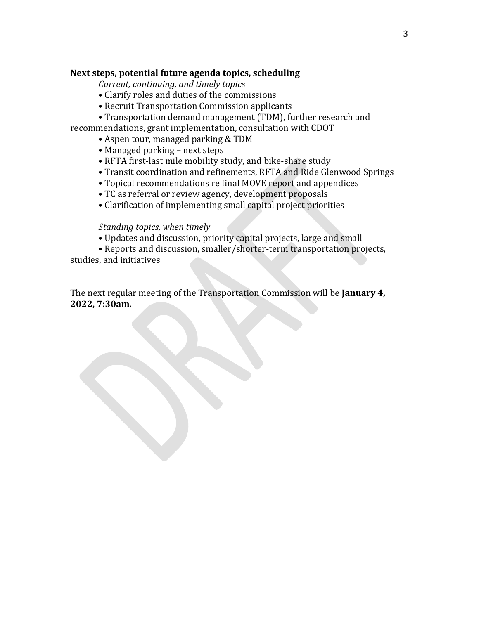## **Next steps, potential future agenda topics, scheduling**

*Current, continuing, and timely topics*

- Clarify roles and duties of the commissions
- Recruit Transportation Commission applicants
- Transportation demand management (TDM), further research and

recommendations, grant implementation, consultation with CDOT

- Aspen tour, managed parking & TDM
- Managed parking next steps
- RFTA first-last mile mobility study, and bike-share study
- Transit coordination and refinements, RFTA and Ride Glenwood Springs
- Topical recommendations re final MOVE report and appendices
- TC as referral or review agency, development proposals
- Clarification of implementing small capital project priorities

#### *Standing topics, when timely*

- Updates and discussion, priority capital projects, large and small
- Reports and discussion, smaller/shorter-term transportation projects, studies, and initiatives

The next regular meeting of the Transportation Commission will be **January 4, 2022, 7:30am.**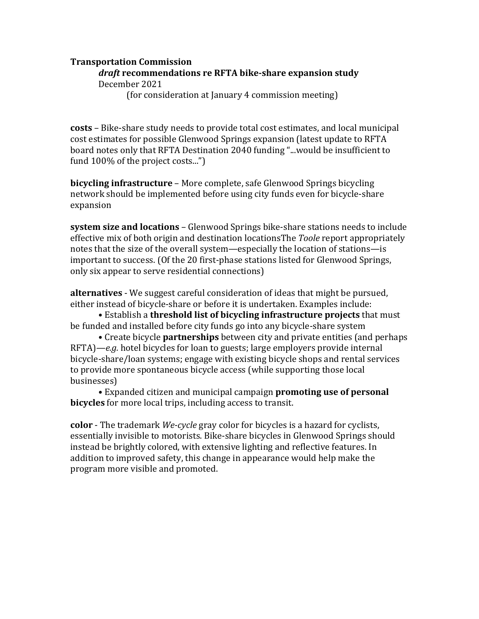## **Transportation Commission**

#### *draft* **recommendations re RFTA bike-share expansion study** December 2021

(for consideration at January 4 commission meeting)

**costs** – Bike-share study needs to provide total cost estimates, and local municipal cost estimates for possible Glenwood Springs expansion (latest update to RFTA board notes only that RFTA Destination 2040 funding "...would be insufficient to fund 100% of the project costs...")

**bicycling infrastructure** – More complete, safe Glenwood Springs bicycling network should be implemented before using city funds even for bicycle-share expansion

**system size and locations** – Glenwood Springs bike-share stations needs to include effective mix of both origin and destination locationsThe *Toole* report appropriately notes that the size of the overall system—especially the location of stations—is important to success. (Of the 20 first-phase stations listed for Glenwood Springs, only six appear to serve residential connections)

**alternatives** - We suggest careful consideration of ideas that might be pursued, either instead of bicycle-share or before it is undertaken. Examples include:

• Establish a **threshold list of bicycling infrastructure projects** that must be funded and installed before city funds go into any bicycle-share system

• Create bicycle **partnerships** between city and private entities (and perhaps RFTA)—*e.g.* hotel bicycles for loan to guests; large employers provide internal bicycle-share/loan systems; engage with existing bicycle shops and rental services to provide more spontaneous bicycle access (while supporting those local businesses)

• Expanded citizen and municipal campaign **promoting use of personal bicycles** for more local trips, including access to transit.

**color** - The trademark *We-cycle* gray color for bicycles is a hazard for cyclists, essentially invisible to motorists. Bike-share bicycles in Glenwood Springs should instead be brightly colored, with extensive lighting and reflective features. In addition to improved safety, this change in appearance would help make the program more visible and promoted.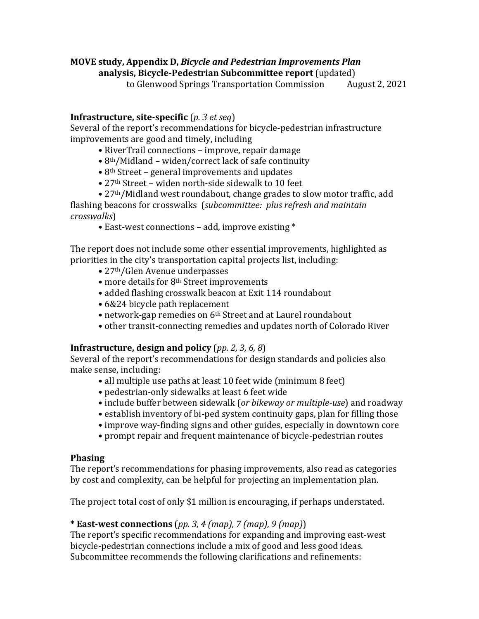# **MOVE study, Appendix D,** *Bicycle and Pedestrian Improvements Plan*

**analysis, Bicycle-Pedestrian Subcommittee report** (updated)

to Glenwood Springs Transportation Commission

# **Infrastructure, site-specific** (*p. 3 et seq*)

Several of the report's recommendations for bicycle-pedestrian infrastructure improvements are good and timely, including

- RiverTrail connections improve, repair damage
- 8th/Midland widen/correct lack of safe continuity
- 8th Street general improvements and updates
- 27th Street widen north-side sidewalk to 10 feet

• 27th/Midland west roundabout, change grades to slow motor traffic, add flashing beacons for crosswalks (*subcommittee: plus refresh and maintain crosswalks*)

• East-west connections – add, improve existing \*

The report does not include some other essential improvements, highlighted as priorities in the city's transportation capital projects list, including:

- 27<sup>th</sup>/Glen Avenue underpasses
- more details for 8<sup>th</sup> Street improvements
- added flashing crosswalk beacon at Exit 114 roundabout
- 6&24 bicycle path replacement
- network-gap remedies on 6th Street and at Laurel roundabout
- other transit-connecting remedies and updates north of Colorado River

# **Infrastructure, design and policy** (*pp. 2, 3, 6, 8*)

Several of the report's recommendations for design standards and policies also make sense, including:

- all multiple use paths at least 10 feet wide (minimum 8 feet)
- pedestrian-only sidewalks at least 6 feet wide
- include buffer between sidewalk (*or bikeway or multiple-use*) and roadway
- establish inventory of bi-ped system continuity gaps, plan for filling those
- improve way-finding signs and other guides, especially in downtown core
- prompt repair and frequent maintenance of bicycle-pedestrian routes

# **Phasing**

The report's recommendations for phasing improvements, also read as categories by cost and complexity, can be helpful for projecting an implementation plan.

The project total cost of only \$1 million is encouraging, if perhaps understated.

# **\* East-west connections** (*pp. 3, 4 (map), 7 (map), 9 (map)*)

The report's specific recommendations for expanding and improving east-west bicycle-pedestrian connections include a mix of good and less good ideas. Subcommittee recommends the following clarifications and refinements: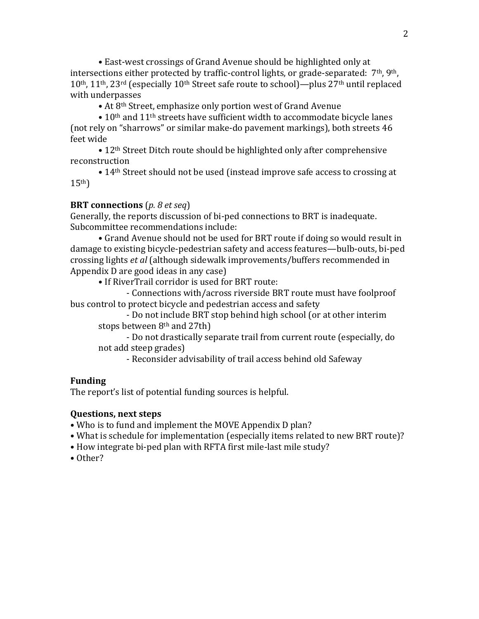• East-west crossings of Grand Avenue should be highlighted only at intersections either protected by traffic-control lights, or grade-separated: 7<sup>th</sup>, 9<sup>th</sup>, 10th, 11th, 23rd (especially 10th Street safe route to school)—plus 27th until replaced with underpasses

• At 8th Street, emphasize only portion west of Grand Avenue

• 10<sup>th</sup> and 11<sup>th</sup> streets have sufficient width to accommodate bicycle lanes (not rely on "sharrows" or similar make-do pavement markings), both streets 46 feet wide

• 12<sup>th</sup> Street Ditch route should be highlighted only after comprehensive reconstruction

• 14<sup>th</sup> Street should not be used (instead improve safe access to crossing at  $15<sup>th</sup>$ )

#### **BRT connections** (*p. 8 et seq*)

Generally, the reports discussion of bi-ped connections to BRT is inadequate. Subcommittee recommendations include:

• Grand Avenue should not be used for BRT route if doing so would result in damage to existing bicycle-pedestrian safety and access features—bulb-outs, bi-ped crossing lights *et al* (although sidewalk improvements/buffers recommended in Appendix D are good ideas in any case)

• If RiverTrail corridor is used for BRT route:

- Connections with/across riverside BRT route must have foolproof bus control to protect bicycle and pedestrian access and safety

- Do not include BRT stop behind high school (or at other interim stops between 8<sup>th</sup> and 27th)

- Do not drastically separate trail from current route (especially, do not add steep grades)

- Reconsider advisability of trail access behind old Safeway

#### **Funding**

The report's list of potential funding sources is helpful.

#### **Questions, next steps**

• Who is to fund and implement the MOVE Appendix D plan?

• What is schedule for implementation (especially items related to new BRT route)?

• How integrate bi-ped plan with RFTA first mile-last mile study?

• Other?